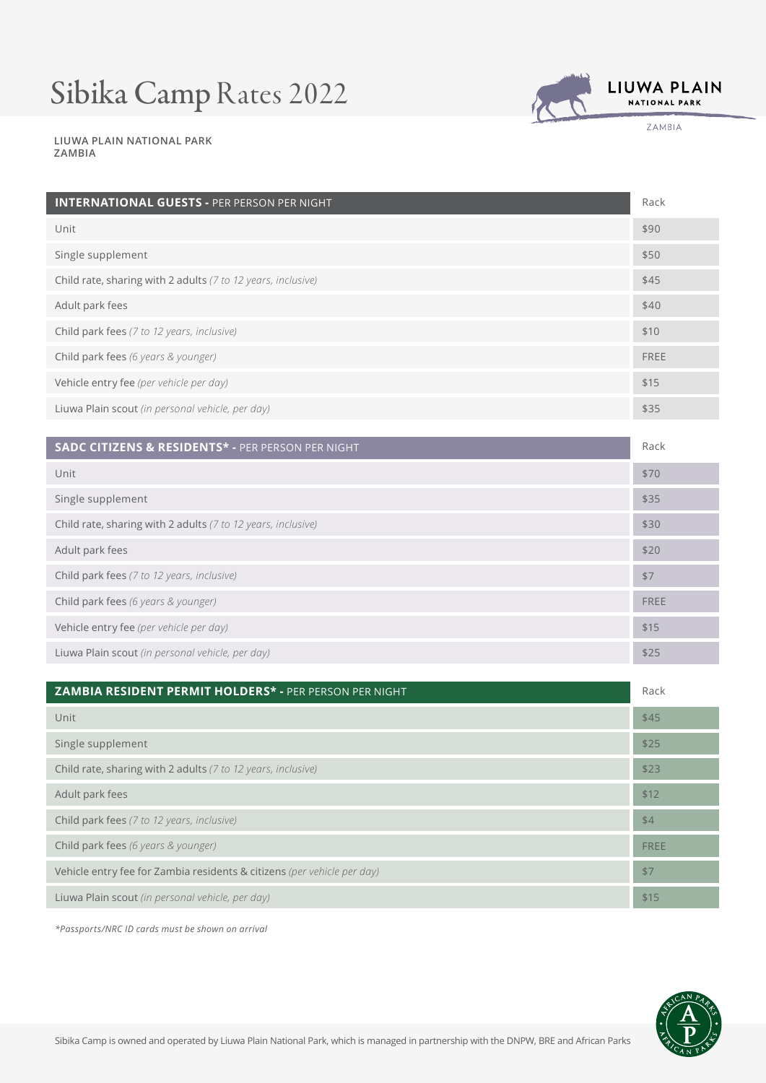# Sibika Camp Rates 2022



ZAMBIA

**LIUWA PLAIN NATIONAL PARK ZAMBIA**

| <b>INTERNATIONAL GUESTS - PER PERSON PER NIGHT</b>           | Rack |
|--------------------------------------------------------------|------|
| Unit                                                         | \$90 |
| Single supplement                                            | \$50 |
| Child rate, sharing with 2 adults (7 to 12 years, inclusive) | \$45 |
| Adult park fees                                              | \$40 |
| Child park fees (7 to 12 years, inclusive)                   | \$10 |
| Child park fees (6 years & younger)                          | FREE |
| Vehicle entry fee (per vehicle per day)                      | \$15 |
| Liuwa Plain scout (in personal vehicle, per day)             | \$35 |
|                                                              |      |

| SADC CITIZENS & RESIDENTS* - PER PERSON PER NIGHT            | Rack |
|--------------------------------------------------------------|------|
| Unit                                                         | \$70 |
| Single supplement                                            | \$35 |
| Child rate, sharing with 2 adults (7 to 12 years, inclusive) | \$30 |
| Adult park fees                                              | \$20 |
| Child park fees (7 to 12 years, inclusive)                   | \$7  |
| Child park fees (6 years & younger)                          | FREE |
| Vehicle entry fee (per vehicle per day)                      | \$15 |
| Liuwa Plain scout (in personal vehicle, per day)             | \$25 |

| ZAMBIA RESIDENT PERMIT HOLDERS* - PER PERSON PER NIGHT                  | Rack |
|-------------------------------------------------------------------------|------|
| Unit                                                                    | \$45 |
| Single supplement                                                       | \$25 |
| Child rate, sharing with 2 adults (7 to 12 years, inclusive)            | \$23 |
| Adult park fees                                                         | \$12 |
| Child park fees (7 to 12 years, inclusive)                              | \$4  |
| Child park fees (6 years & younger)                                     | FREE |
| Vehicle entry fee for Zambia residents & citizens (per vehicle per day) | \$7  |
| Liuwa Plain scout (in personal vehicle, per day)                        | \$15 |

*\*Passports/NRC ID cards must be shown on arrival*

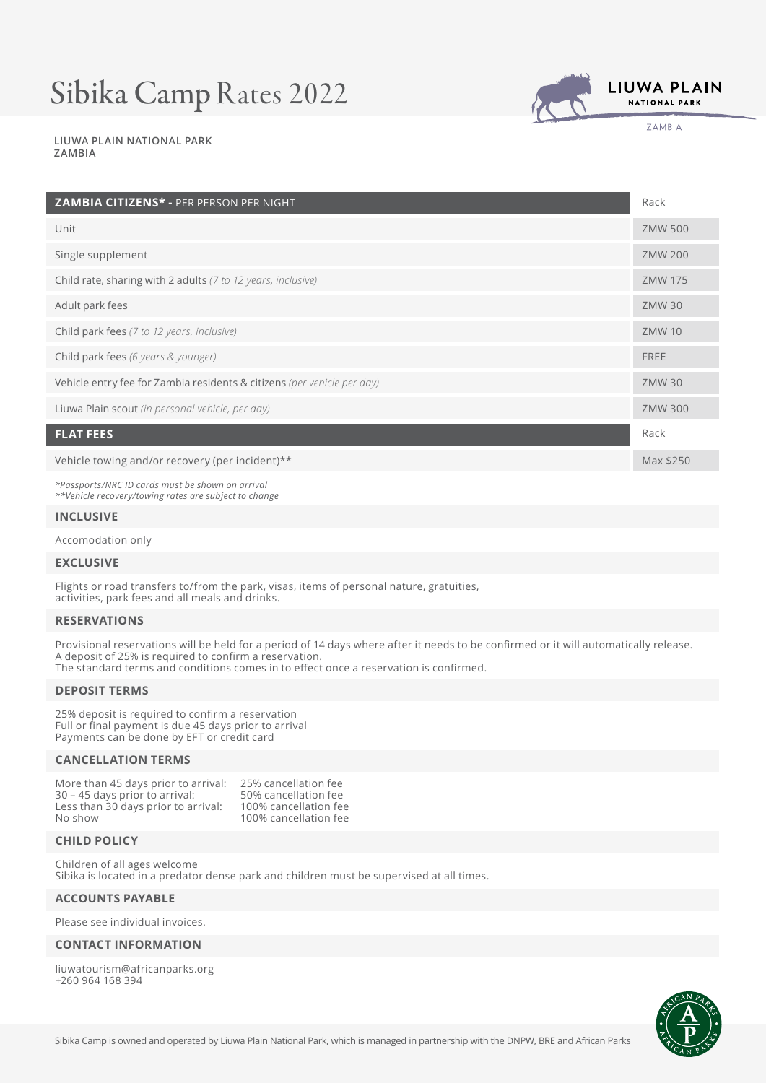## Sibika Camp Rates 2022



ZAMBIA

#### **LIUWA PLAIN NATIONAL PARK ZAMBIA**

| ZAMBIA CITIZENS* - PER PERSON PER NIGHT                                 | Rack           |
|-------------------------------------------------------------------------|----------------|
| Unit                                                                    | <b>ZMW 500</b> |
| Single supplement                                                       | <b>ZMW 200</b> |
| Child rate, sharing with 2 adults (7 to 12 years, inclusive)            | <b>ZMW 175</b> |
| Adult park fees                                                         | <b>ZMW30</b>   |
| Child park fees (7 to 12 years, inclusive)                              | <b>ZMW 10</b>  |
| Child park fees (6 years & younger)                                     | <b>FREE</b>    |
| Vehicle entry fee for Zambia residents & citizens (per vehicle per day) | <b>ZMW30</b>   |
| Liuwa Plain scout (in personal vehicle, per day)                        | <b>ZMW 300</b> |
| <b>FLAT FEES</b>                                                        | Rack           |
| Vehicle towing and/or recovery (per incident)**                         | Max \$250      |

*\*Passports/NRC ID cards must be shown on arrival \*\*Vehicle recovery/towing rates are subject to change*

#### **INCLUSIVE**

Accomodation only

#### **EXCLUSIVE**

Flights or road transfers to/from the park, visas, items of personal nature, gratuities, activities, park fees and all meals and drinks.

## **RESERVATIONS**

Provisional reservations will be held for a period of 14 days where after it needs to be confirmed or it will automatically release. A deposit of 25% is required to confirm a reservation. The standard terms and conditions comes in to effect once a reservation is confirmed.

#### **DEPOSIT TERMS**

25% deposit is required to confirm a reservation Full or final payment is due 45 days prior to arrival Payments can be done by EFT or credit card

## **CANCELLATION TERMS**

| More than 45 days prior to arrival: | 25% cancellation fee  |
|-------------------------------------|-----------------------|
| 30 – 45 days prior to arrival:      | 50% cancellation fee  |
| Less than 30 days prior to arrival: | 100% cancellation fee |
| No show                             | 100% cancellation fee |

### **CHILD POLICY**

Children of all ages welcome Sibika is located in a predator dense park and children must be supervised at all times.

## **ACCOUNTS PAYABLE**

Please see individual invoices.

#### **CONTACT INFORMATION**

liuwatourism@africanparks.org +260 964 168 394

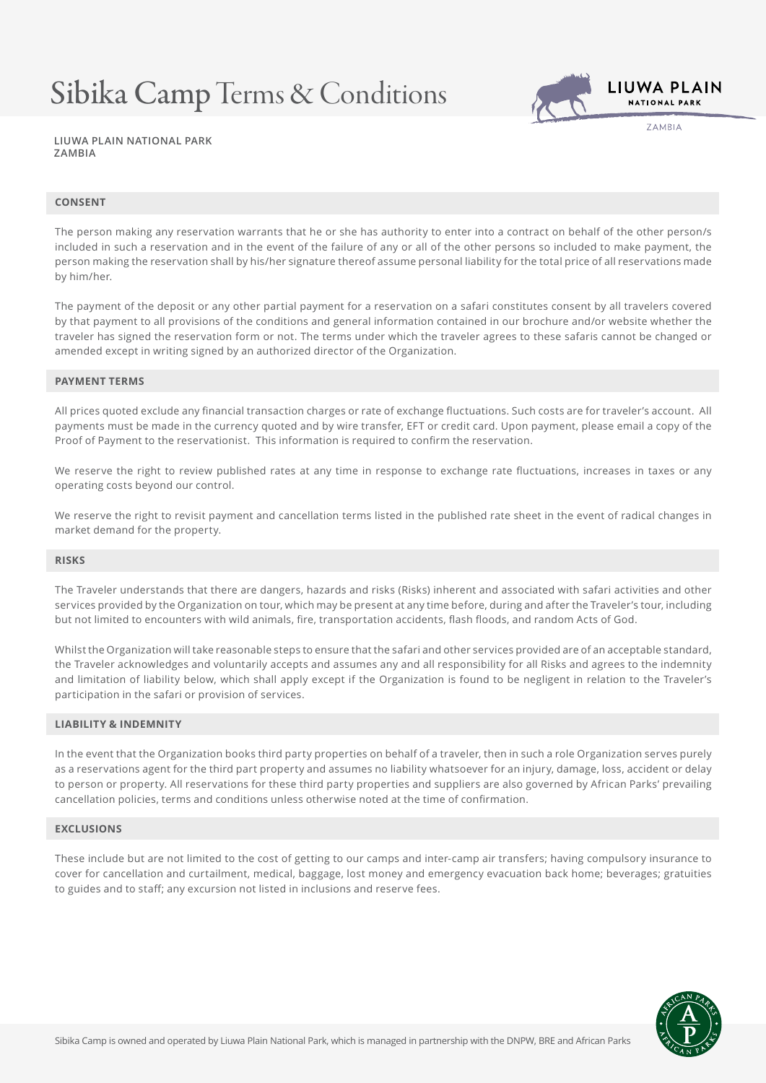## Sibika Camp Terms & Conditions



**7AMRIA** 

**LIUWA PLAIN NATIONAL PARK ZAMBIA**

### **CONSENT**

The person making any reservation warrants that he or she has authority to enter into a contract on behalf of the other person/s included in such a reservation and in the event of the failure of any or all of the other persons so included to make payment, the person making the reservation shall by his/her signature thereof assume personal liability for the total price of all reservations made by him/her.

The payment of the deposit or any other partial payment for a reservation on a safari constitutes consent by all travelers covered by that payment to all provisions of the conditions and general information contained in our brochure and/or website whether the traveler has signed the reservation form or not. The terms under which the traveler agrees to these safaris cannot be changed or amended except in writing signed by an authorized director of the Organization.

#### **PAYMENT TERMS**

All prices quoted exclude any financial transaction charges or rate of exchange fluctuations. Such costs are for traveler's account. All payments must be made in the currency quoted and by wire transfer, EFT or credit card. Upon payment, please email a copy of the Proof of Payment to the reservationist. This information is required to confirm the reservation.

We reserve the right to review published rates at any time in response to exchange rate fluctuations, increases in taxes or any operating costs beyond our control.

We reserve the right to revisit payment and cancellation terms listed in the published rate sheet in the event of radical changes in market demand for the property.

#### **RISKS**

The Traveler understands that there are dangers, hazards and risks (Risks) inherent and associated with safari activities and other services provided by the Organization on tour, which may be present at any time before, during and after the Traveler's tour, including but not limited to encounters with wild animals, fire, transportation accidents, flash floods, and random Acts of God.

Whilst the Organization will take reasonable steps to ensure that the safari and other services provided are of an acceptable standard, the Traveler acknowledges and voluntarily accepts and assumes any and all responsibility for all Risks and agrees to the indemnity and limitation of liability below, which shall apply except if the Organization is found to be negligent in relation to the Traveler's participation in the safari or provision of services.

## **LIABILITY & INDEMNITY**

In the event that the Organization books third party properties on behalf of a traveler, then in such a role Organization serves purely as a reservations agent for the third part property and assumes no liability whatsoever for an injury, damage, loss, accident or delay to person or property. All reservations for these third party properties and suppliers are also governed by African Parks' prevailing cancellation policies, terms and conditions unless otherwise noted at the time of confirmation.

#### **EXCLUSIONS**

These include but are not limited to the cost of getting to our camps and inter-camp air transfers; having compulsory insurance to cover for cancellation and curtailment, medical, baggage, lost money and emergency evacuation back home; beverages; gratuities to guides and to staff; any excursion not listed in inclusions and reserve fees.